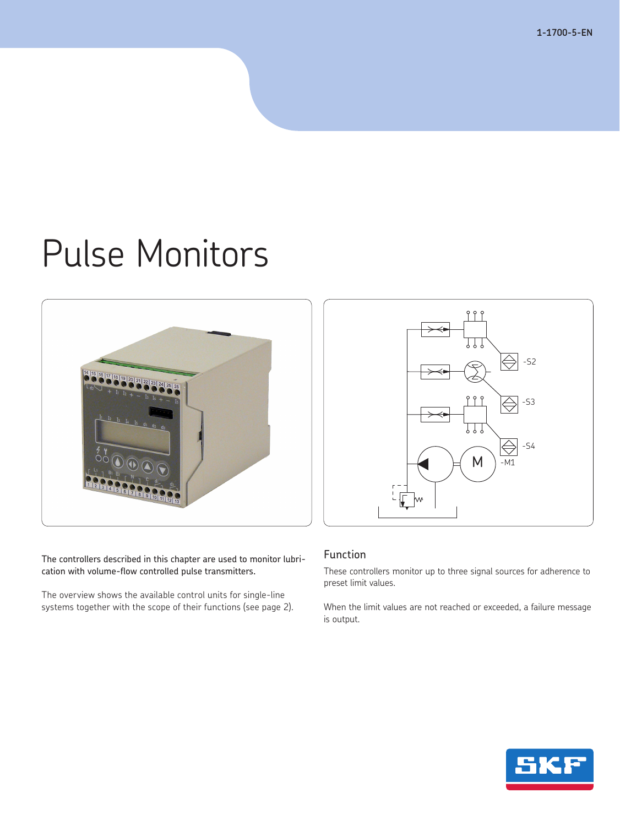**1-1700-5-EN**

# Pulse Monitors



The controllers described in this chapter are used to monitor lubrication with volume-flow controlled pulse transmitters.

The overview shows the available control units for single-line systems together with the scope of their functions (see page 2).



# Function

These controllers monitor up to three signal sources for adherence to preset limit values.

When the limit values are not reached or exceeded, a failure message is output.

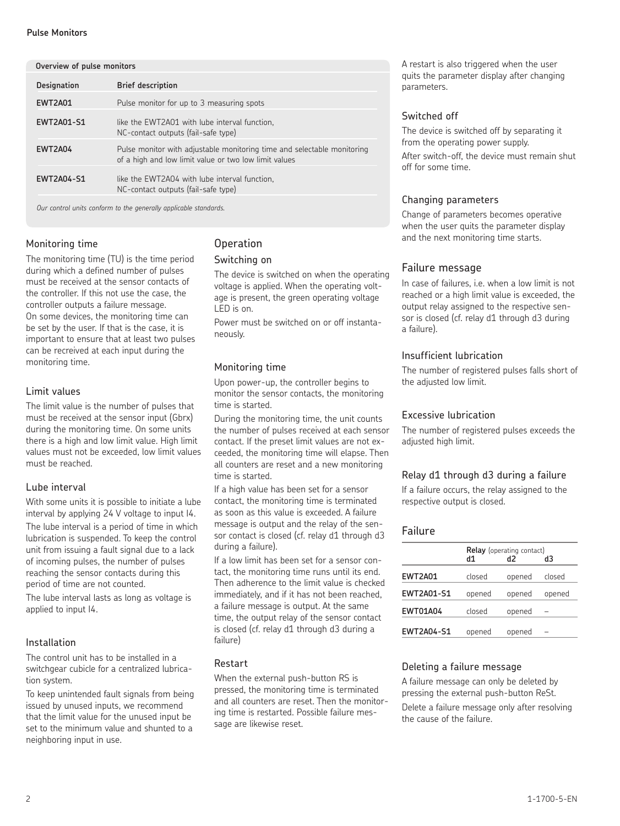#### **Pulse Monitors**

| Overview of pulse monitors |                                                                                                                                  |  |
|----------------------------|----------------------------------------------------------------------------------------------------------------------------------|--|
| <b>Designation</b>         | <b>Brief description</b>                                                                                                         |  |
| <b>EWT2A01</b>             | Pulse monitor for up to 3 measuring spots                                                                                        |  |
| <b>EWT2A01-S1</b>          | like the EWT2A01 with lube interval function,<br>NC-contact outputs (fail-safe type)                                             |  |
| <b>EWT2A04</b>             | Pulse monitor with adjustable monitoring time and selectable monitoring<br>of a high and low limit value or two low limit values |  |
| <b>EWT2A04-S1</b>          | like the EWT2A04 with lube interval function,<br>NC-contact outputs (fail-safe type)                                             |  |

 *Our control units conform to the generally applicable standards.*

# Monitoring time

The monitoring time (TU) is the time period during which a defined number of pulses must be received at the sensor contacts of the controller. If this not use the case, the controller outputs a failure message. On some devices, the monitoring time can be set by the user. If that is the case, it is important to ensure that at least two pulses can be recreived at each input during the monitoring time.

# Limit values

The limit value is the number of pulses that must be received at the sensor input (Gbrx) during the monitoring time. On some units there is a high and low limit value. High limit values must not be exceeded, low limit values must be reached.

# Lube interval

With some units it is possible to initiate a lube interval by applying 24 V voltage to input I4.

The lube interval is a period of time in which lubrication is suspended. To keep the control unit from issuing a fault signal due to a lack of incoming pulses, the number of pulses reaching the sensor contacts during this period of time are not counted.

The lube interval lasts as long as voltage is applied to input I4.

# Installation

The control unit has to be installed in a switchgear cubicle for a centralized lubrication system.

To keep unintended fault signals from being issued by unused inputs, we recommend that the limit value for the unused input be set to the minimum value and shunted to a neighboring input in use.

# **Operation**

#### Switching on

The device is switched on when the operating voltage is applied. When the operating voltage is present, the green operating voltage LED is on.

Power must be switched on or off instantaneously.

# Monitoring time

Upon power-up, the controller begins to monitor the sensor contacts, the monitoring time is started.

During the monitoring time, the unit counts the number of pulses received at each sensor contact. If the preset limit values are not exceeded, the monitoring time will elapse. Then all counters are reset and a new monitoring time is started.

If a high value has been set for a sensor contact, the monitoring time is terminated as soon as this value is exceeded. A failure message is output and the relay of the sensor contact is closed (cf. relay d1 through d3 during a failure).

If a low limit has been set for a sensor contact, the monitoring time runs until its end. Then adherence to the limit value is checked immediately, and if it has not been reached, a failure message is output. At the same time, the output relay of the sensor contact is closed (cf. relay d1 through d3 during a failure)

# Restart

When the external push-button RS is pressed, the monitoring time is terminated and all counters are reset. Then the monitoring time is restarted. Possible failure message are likewise reset.

A restart is also triggered when the user quits the parameter display after changing parameters.

# Switched off

The device is switched off by separating it from the operating power supply. After switch-off, the device must remain shut off for some time.

# Changing parameters

Change of parameters becomes operative when the user quits the parameter display and the next monitoring time starts.

# Failure message

In case of failures, i.e. when a low limit is not reached or a high limit value is exceeded, the output relay assigned to the respective sensor is closed (cf. relay d1 through d3 during a failure).

# Insufficient lubrication

The number of registered pulses falls short of the adjusted low limit.

## Excessive lubrication

The number of registered pulses exceeds the adjusted high limit.

# Relay d1 through d3 during a failure

If a failure occurs, the relay assigned to the respective output is closed.

# Failure

|                   | Relay (operating contact) |        |        |
|-------------------|---------------------------|--------|--------|
|                   | d1                        | d2     | dЗ     |
| <b>EWT2A01</b>    | closed                    | opened | closed |
| <b>EWT2A01-S1</b> | opened                    | opened | opened |
| <b>EWT01A04</b>   | closed                    | opened |        |
| <b>EWT2A04-S1</b> | opened                    | opened |        |

# Deleting a failure message

A failure message can only be deleted by pressing the external push-button ReSt. Delete a failure message only after resolving the cause of the failure.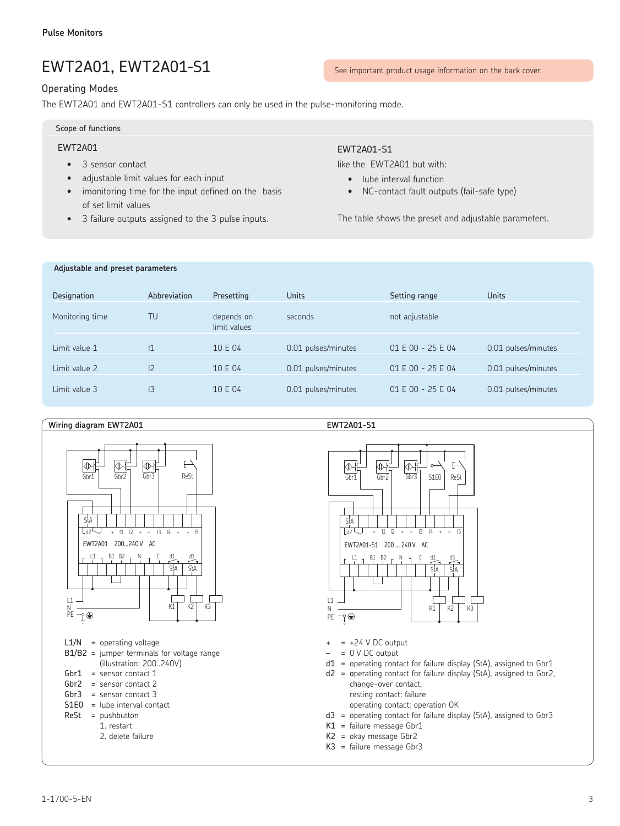# EWT2A01, EWT2A01-S1

# Operating Modes

The EWT2A01 and EWT2A01-S1 controllers can only be used in the pulse-monitoring mode.

Scope of functions

# EWT2A01

- 3 sensor contact
- adjustable limit values for each input
- imonitoring time for the input defined on the basis of set limit values
- 3 failure outputs assigned to the 3 pulse inputs.

# EWT2A01-S1

like the EWT2A01 but with:

- lube interval function
- NC-contact fault outputs (fail-safe type)

The table shows the preset and adjustable parameters.

#### **Adjustable and preset parameters**

| Designation     | Abbreviation   | Presetting                 | <b>Units</b>        | Setting range     | <b>Units</b>        |
|-----------------|----------------|----------------------------|---------------------|-------------------|---------------------|
| Monitoring time | TU             | depends on<br>limit values | seconds             | not adjustable    |                     |
| Limit value 1   | 11             | 10 E 04                    | 0.01 pulses/minutes | 01 E 00 - 25 E 04 | 0.01 pulses/minutes |
| Limit value 2   | $\overline{2}$ | 10 E 04                    | 0.01 pulses/minutes | 01 E 00 - 25 E 04 | 0.01 pulses/minutes |
| Limit value 3   | IЗ             | 10 E 04                    | 0.01 pulses/minutes | 01 E 00 - 25 E 04 | 0.01 pulses/minutes |

#### Wiring diagram EWT2A01



#### 交 交 交 F Gbr1 | Gbr2 | Gbr3 | S1E0 | ReSt StA Ta + I1 I2 + – I3 I4 + – I5 EWT2A01-S1 200 ... 240 V AC  $L1 - B1 B2 - N$ StA | StA  $\mathbf{I}$ L1  $\sqrt{ }$ ו ר N  $K1$   $K2$   $K3$ PE ↑⊕

- $+ = +24$  V DC output
- $= 0$  V DC output
- $d1$  = operating contact for failure display (StA), assigned to Gbr1 d2 = operating contact for failure display (StA), assigned to Gbr2,

change-over contact, resting contact: failure

operating contact: operation OK

- d3 = operating contact for failure display (StA), assigned to Gbr3
- K1 = failure message Gbr1
- K2 = okay message Gbr2
- K3 = failure message Gbr3

# See important product usage information on the back cover.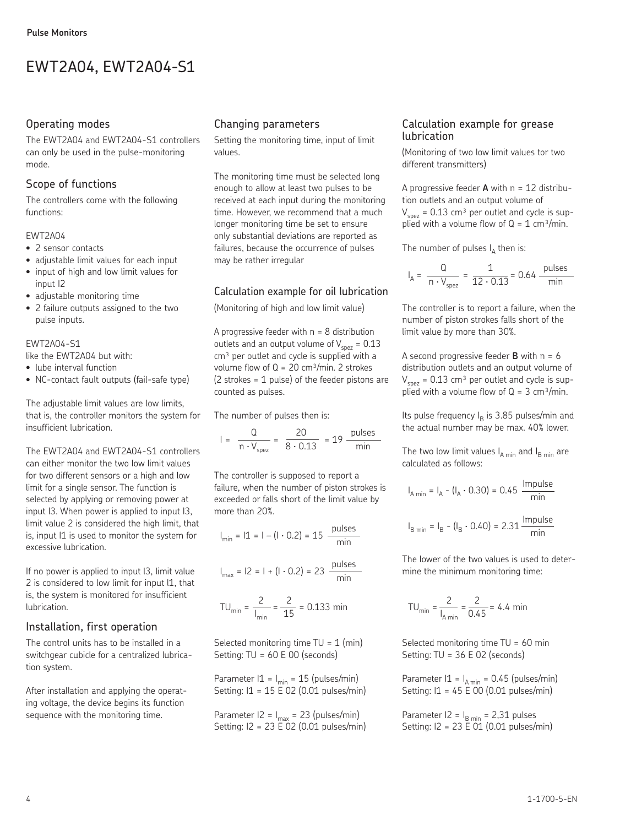# EWT2A04, EWT2A04-S1

# Operating modes

The EWT2A04 and EWT2A04-S1 controllers can only be used in the pulse-monitoring mode.

# Scope of functions

The controllers come with the following functions:

# EWT2A04

- 2 sensor contacts
- adjustable limit values for each input
- input of high and low limit values for input I2
- adjustable monitoring time
- 2 failure outputs assigned to the two pulse inputs.

#### EWT2A04-S1

like the EWT2A04 but with:

- lube interval function
- NC-contact fault outputs (fail-safe type)

The adjustable limit values are low limits, that is, the controller monitors the system for insufficient lubrication.

The EWT2A04 and EWT2A04-S1 controllers can either monitor the two low limit values for two different sensors or a high and low limit for a single sensor. The function is selected by applying or removing power at input I3. When power is applied to input I3, limit value 2 is considered the high limit, that is, input I1 is used to monitor the system for excessive lubrication.

If no power is applied to input l3, limit value 2 is considered to low limit for input  $11$ , that is, the system is monitored for insufficient lubrication.

# Installation, first operation

The control units has to be installed in a switchgear cubicle for a centralized lubrication system.

After installation and applying the operating voltage, the device begins its function sequence with the monitoring time.

# Changing parameters

Setting the monitoring time, input of limit values.

The monitoring time must be selected long enough to allow at least two pulses to be received at each input during the monitoring time. However, we recommend that a much longer monitoring time be set to ensure only substantial deviations are reported as failures, because the occurrence of pulses may be rather irregular

# Calculation example for oil lubrication

(Monitoring of high and low limit value)

A progressive feeder with  $n = 8$  distribution outlets and an output volume of  $V_{\text{spec}} = 0.13$ cm<sup>3</sup> per outlet and cycle is supplied with a volume flow of  $Q = 20$  cm<sup>3</sup>/min. 2 strokes (2 strokes = 1 pulse) of the feeder pistons are counted as pulses.

The number of pulses then is:

$$
I = \frac{Q}{n \cdot V_{\text{spec}}} = \frac{20}{8 \cdot 0.13} = 19 \frac{\text{pulses}}{\text{min}}
$$

The controller is supposed to report a failure, when the number of piston strokes is exceeded or falls short of the limit value by more than 20%.

$$
I_{\min} = 11 = 1 - (1 \cdot 0.2) = 15 \frac{\text{pulses}}{\text{min}}
$$

$$
I_{\text{max}} = 12 = 1 + (1 \cdot 0.2) = 23
$$
  $\frac{\text{pulses}}{\text{min}}$ 

$$
TU_{\min} = \frac{2}{I_{\min}} = \frac{2}{15} = 0.133 \text{ min}
$$

Selected monitoring time  $TU = 1$  (min) Setting: TU = 60 E 00 (seconds)

Parameter  $11 = I_{min} = 15$  (pulses/min) Setting: I1 = 15 E 02 (0.01 pulses/min)

Parameter  $|2 = I_{\text{max}} = 23$  (pulses/min) Setting: I2 = 23 E 02 (0.01 pulses/min)

# Calculation example for grease lubrication

(Monitoring of two low limit values tor two different transmitters)

A progressive feeder **A** with n = 12 distribution outlets and an output volume of  $V_{\text{spez}}$  = 0.13 cm<sup>3</sup> per outlet and cycle is supplied with a volume flow of  $Q = 1$  cm<sup>3</sup>/min.

The number of pulses  $I_A$  then is:

$$
I_A = \frac{Q}{n \cdot V_{\text{spec}}} = \frac{1}{12 \cdot 0.13} = 0.64 \frac{\text{pulses}}{\text{min}}
$$

The controller is to report a failure, when the number of piston strokes falls short of the limit value by more than 30%.

A second progressive feeder  $\bf{B}$  with  $n = 6$ distribution outlets and an output volume of  $V_{spez}$  = 0.13 cm<sup>3</sup> per outlet and cycle is supplied with a volume flow of  $Q = 3$  cm<sup>3</sup>/min.

Its pulse frequency  $I_B$  is 3.85 pulses/min and the actual number may be max. 40% lower.

The two low limit values  $I_{A \text{min}}$  and  $I_{B \text{min}}$  are calculated as follows:

$$
I_{A \min} = I_{A} - (I_{A} \cdot 0.30) = 0.45 \frac{\text{Impulse}}{\text{min}}
$$

$$
I_{B \min} = I_{B} - (I_{B} \cdot 0.40) = 2.31 \frac{\text{Impulse}}{\text{min}}
$$

The lower of the two values is used to determine the minimum monitoring time:

$$
TU_{\min} = \frac{2}{I_{A\min}} = \frac{2}{0.45} = 4.4 \text{ min}
$$

Selected monitoring time  $TU = 60$  min Setting: TU = 36 E 02 (seconds)

Parameter  $11 = I_{A min} = 0.45$  (pulses/min) Setting: I1 = 45 E 00 (0.01 pulses/min)

Parameter  $|2 = I_{\text{B min}} = 2,31$  pulses Setting: I2 = 23 E 01 (0.01 pulses/min)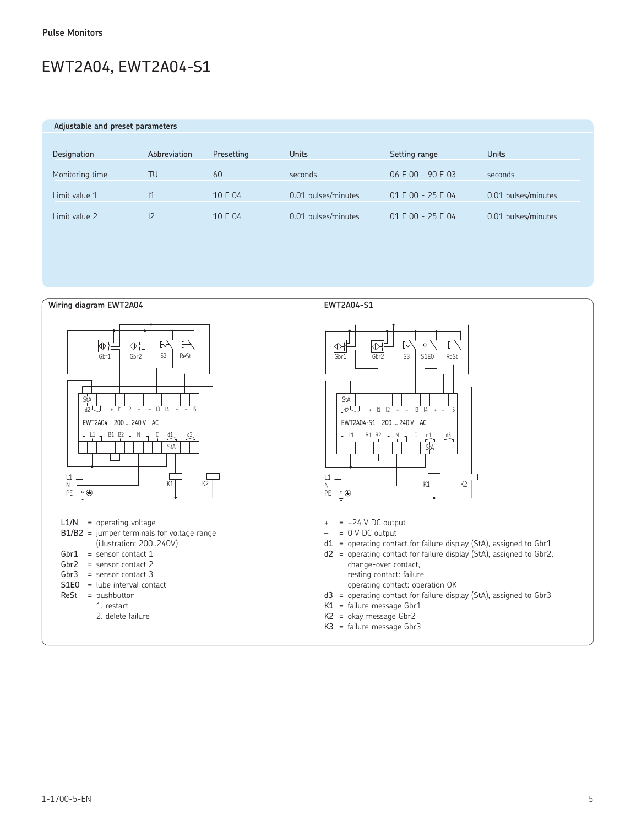# EWT2A04, EWT2A04-S1

 **Adjustable and preset parameters**

| Designation     | Abbreviation   | Presetting | Units               | Setting range     | <b>Units</b>        |
|-----------------|----------------|------------|---------------------|-------------------|---------------------|
| Monitoring time | TU             | 60         | seconds             | 06 E 00 - 90 E 03 | seconds             |
| Limit value 1   | $\mathsf{I}$   | 10 E 04    | 0.01 pulses/minutes | 01 E 00 - 25 E 04 | 0.01 pulses/minutes |
| Limit value 2   | $\overline{2}$ | 10 E 04    | 0.01 pulses/minutes | 01 E 00 - 25 E 04 | 0.01 pulses/minutes |

**Wiring diagram EWT2A04 EWT2A04-S1**



2. delete failure



- $+ = +24$  V DC output
- $= 0$  V DC output
- d1 = operating contact for failure display (StA), assigned to Gbr1
- d2 = operating contact for failure display (StA), assigned to Gbr2, change-over contact, resting contact: failure operating contact: operation OK
- d3 = operating contact for failure display (StA), assigned to Gbr3
- K1 = failure message Gbr1
- K2 = okay message Gbr2
- $K3$  = failure message Gbr3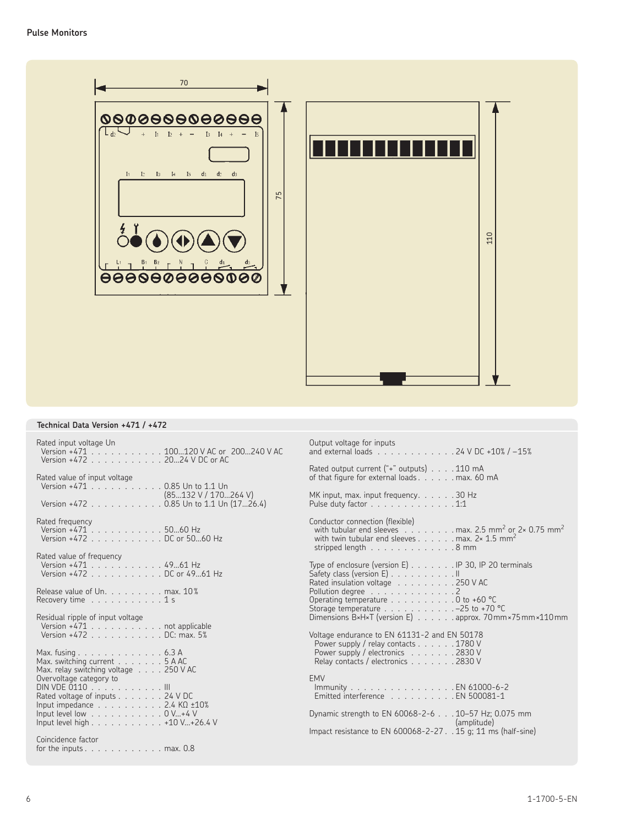

# **Technical Data Version +471 / +472**

| Rated input voltage Un<br>Version +471 100120 V AC or 200240 V AC<br>Version +472 20  24 V DC or AC                                                      | Output voltage for inputs<br>and external loads 24 V DC +10% / -15%                                                                                                                                          |
|----------------------------------------------------------------------------------------------------------------------------------------------------------|--------------------------------------------------------------------------------------------------------------------------------------------------------------------------------------------------------------|
| Rated value of input voltage<br>Version +471 0.85 Un to 1.1 Un                                                                                           | Rated output current ("+" outputs) 110 mA<br>of that figure for external loads. max. 60 mA                                                                                                                   |
| (85132 V / 170264 V)<br>Version +472 0.85 Un to 1.1 Un (1726.4)                                                                                          | MK input, max. input frequency. 30 Hz<br>Pulse duty factor $\ldots$ , $\ldots$ , $\ldots$ , $\ldots$ , $1:1$                                                                                                 |
| Rated frequency<br>Version +471 5060 Hz<br>Version +472 DC or 5060 Hz                                                                                    | Conductor connection (flexible)<br>with tubular end sleeves max. 2.5 mm <sup>2</sup> or 2× 0.75 mm <sup>2</sup><br>with twin tubular end sleeves max. $2 \times 1.5$ mm <sup>2</sup><br>stripped length 8 mm |
| Rated value of frequency<br>Version +471 4961 Hz<br>Version +472 DC or 4961 Hz                                                                           | Type of enclosure (version E) IP 30, IP 20 terminals<br>Safety class (version E) II<br>Rated insulation voltage 250 V AC                                                                                     |
| Release value of Un. max. 10%<br>Recovery time $\ldots \ldots \ldots \ldots$                                                                             | Pollution degree $\ldots$ , 2<br>Operating temperature 0 to +60 °C<br>Storage temperature $\ldots \ldots \ldots \ldots -25$ to +70 °C                                                                        |
| Residual ripple of input voltage<br>Version +471 not applicable<br>Version +472 DC: max. 5%                                                              | Dimensions B×H×T (version E) approx. 70mm×75mm×110mm<br>Voltage endurance to EN 61131-2 and EN 50178                                                                                                         |
| Max. fusing $\ldots \ldots \ldots \ldots \ldots 6.3$ A<br>Max. switching current 5 A AC<br>Max. relay switching voltage 250 V AC                         | Power supply / relay contacts 1780 V<br>Power supply / electronics 2830 V<br>Relay contacts / electronics 2830 V                                                                                             |
| Overvoltage category to<br>DIN VDE 0110 III<br>Rated voltage of inputs 24 V DC<br>Input impedance $\ldots \ldots \ldots \ldots$ 2.4 K $\Omega$ $\pm$ 10% | <b>EMV</b><br>Immunity EN 61000-6-2<br>Emitted interference EN 500081-1                                                                                                                                      |
| Input level low 0 V+4 V<br>Input level high 410 V+26.4 V                                                                                                 | Dynamic strength to EN 60068-2-6 10-57 Hz; 0.075 mm<br>(amplitude)<br>Impact resistance to EN 600068-2-27. . 15 g; 11 ms (half-sine)                                                                         |
| Coincidence factor<br>for the inputs $\ldots$ max. 0.8                                                                                                   |                                                                                                                                                                                                              |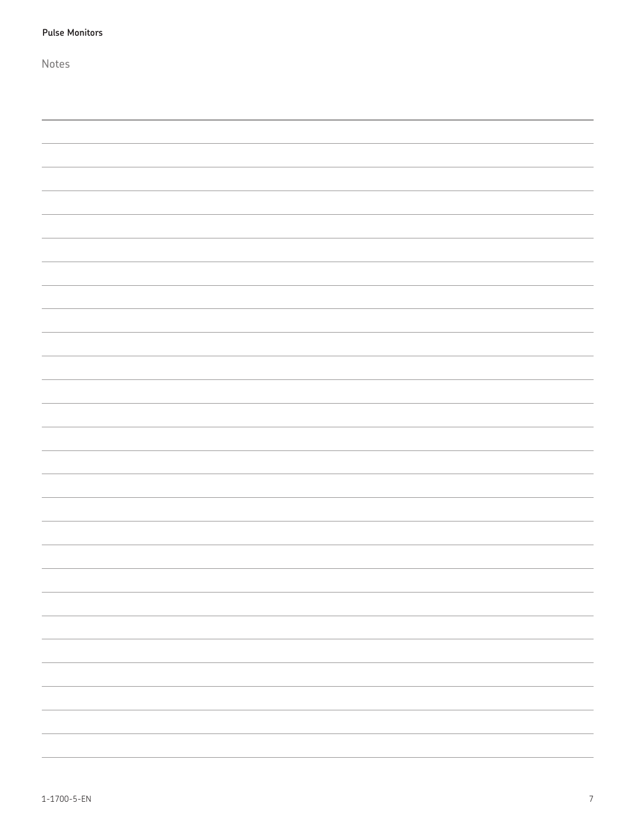| <b>Pulse Monitors</b> |
|-----------------------|
| Notes                 |
|                       |
|                       |
|                       |
|                       |
|                       |
|                       |
|                       |
|                       |
|                       |
|                       |
|                       |
|                       |
|                       |
|                       |
|                       |
|                       |
|                       |
|                       |
|                       |
|                       |
|                       |
|                       |
|                       |
|                       |
|                       |
|                       |